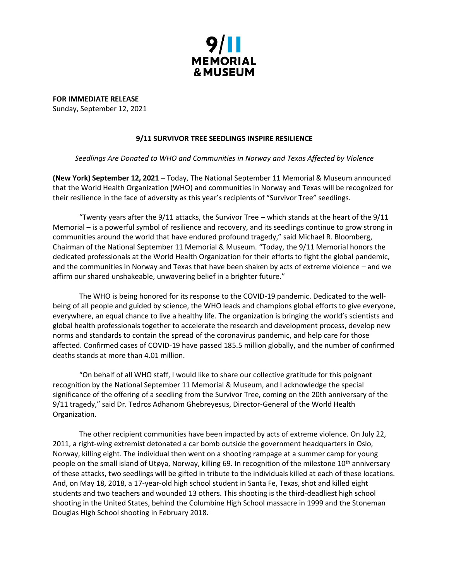

**FOR IMMEDIATE RELEASE** Sunday, September 12, 2021

## **9/11 SURVIVOR TREE SEEDLINGS INSPIRE RESILIENCE**

## *Seedlings Are Donated to WHO and Communities in Norway and Texas Affected by Violence*

**(New York) September 12, 2021** – Today, The National September 11 Memorial & Museum announced that the World Health Organization (WHO) and communities in Norway and Texas will be recognized for their resilience in the face of adversity as this year's recipients of "Survivor Tree" seedlings.

"Twenty years after the  $9/11$  attacks, the Survivor Tree – which stands at the heart of the  $9/11$ Memorial – is a powerful symbol of resilience and recovery, and its seedlings continue to grow strong in communities around the world that have endured profound tragedy," said Michael R. Bloomberg, Chairman of the National September 11 Memorial & Museum. "Today, the 9/11 Memorial honors the dedicated professionals at the World Health Organization for their efforts to fight the global pandemic, and the communities in Norway and Texas that have been shaken by acts of extreme violence – and we affirm our shared unshakeable, unwavering belief in a brighter future."

The WHO is being honored for its response to the COVID-19 pandemic. Dedicated to the wellbeing of all people and guided by science, the WHO leads and champions global efforts to give everyone, everywhere, an equal chance to live a healthy life. The organization is bringing the world's scientists and global health professionals together to accelerate the research and development process, develop new norms and standards to contain the spread of the coronavirus pandemic, and help care for those affected. Confirmed cases of COVID-19 have passed 185.5 million globally, and the number of confirmed deaths stands at more than 4.01 million.

"On behalf of all WHO staff, I would like to share our collective gratitude for this poignant recognition by the National September 11 Memorial & Museum, and I acknowledge the special significance of the offering of a seedling from the Survivor Tree, coming on the 20th anniversary of the 9/11 tragedy," said Dr. Tedros Adhanom Ghebreyesus, Director-General of the World Health Organization.

The other recipient communities have been impacted by acts of extreme violence. On July 22, 2011, a right-wing extremist detonated a car bomb outside the government headquarters in Oslo, Norway, killing eight. The individual then went on a shooting rampage at a summer camp for young people on the small island of Utøya, Norway, killing 69. In recognition of the milestone 10<sup>th</sup> anniversary of these attacks, two seedlings will be gifted in tribute to the individuals killed at each of these locations. And, on May 18, 2018, a 17-year-old high school student in Santa Fe, Texas, shot and killed eight students and two teachers and wounded 13 others. This shooting is the third-deadliest high school shooting in the United States, behind the Columbine High School massacre in 1999 and the Stoneman Douglas High School shooting in February 2018.